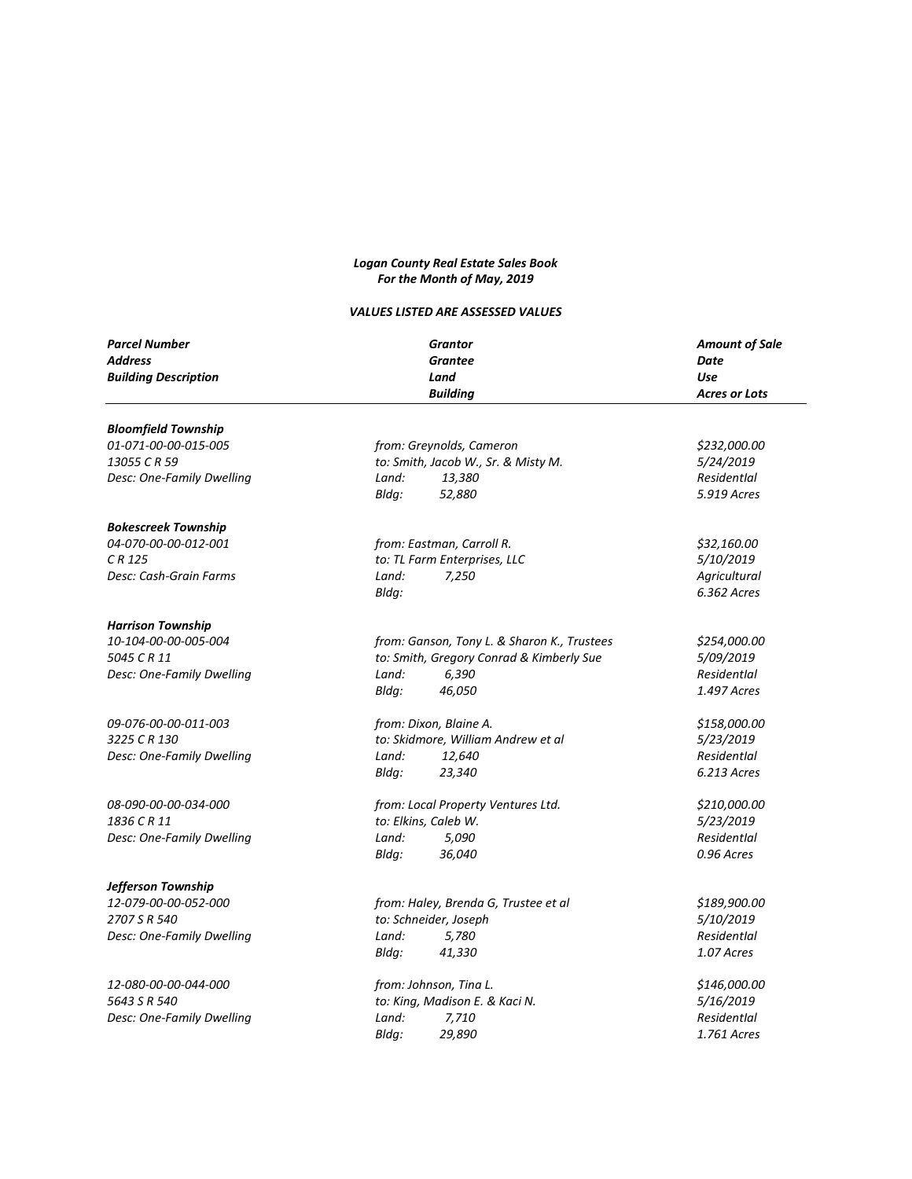## *Logan County Real Estate Sales Book For the Month of May, 2019*

## *VALUES LISTED ARE ASSESSED VALUES*

| <b>Parcel Number</b><br><b>Address</b><br><b>Building Description</b> | <b>Grantor</b><br><b>Grantee</b><br>Land<br><b>Building</b> | <b>Amount of Sale</b><br>Date<br><b>Use</b><br><b>Acres or Lots</b> |
|-----------------------------------------------------------------------|-------------------------------------------------------------|---------------------------------------------------------------------|
|                                                                       |                                                             |                                                                     |
| <b>Bloomfield Township</b>                                            |                                                             |                                                                     |
| 01-071-00-00-015-005                                                  | from: Greynolds, Cameron                                    | \$232,000.00                                                        |
| 13055 C R 59                                                          | to: Smith, Jacob W., Sr. & Misty M.                         | 5/24/2019                                                           |
| Desc: One-Family Dwelling                                             | Land:<br>13,380                                             | Residentlal                                                         |
|                                                                       | Bldg:<br>52,880                                             | 5.919 Acres                                                         |
| <b>Bokescreek Township</b>                                            |                                                             |                                                                     |
| 04-070-00-00-012-001                                                  | from: Eastman, Carroll R.                                   | \$32,160.00                                                         |
| CR 125                                                                | to: TL Farm Enterprises, LLC                                | 5/10/2019                                                           |
| Desc: Cash-Grain Farms                                                | 7,250<br>Land:                                              | Agricultural                                                        |
|                                                                       | Bldg:                                                       | 6.362 Acres                                                         |
| <b>Harrison Township</b>                                              |                                                             |                                                                     |
| 10-104-00-00-005-004                                                  | from: Ganson, Tony L. & Sharon K., Trustees                 | \$254,000.00                                                        |
| 5045 C R 11                                                           | to: Smith, Gregory Conrad & Kimberly Sue                    | 5/09/2019                                                           |
| Desc: One-Family Dwelling                                             | Land:<br>6,390                                              | Residentlal                                                         |
|                                                                       | Bldg:<br>46,050                                             | 1.497 Acres                                                         |
| 09-076-00-00-011-003                                                  | from: Dixon, Blaine A.                                      | \$158,000.00                                                        |
| 3225 C R 130                                                          | to: Skidmore, William Andrew et al                          | 5/23/2019                                                           |
| Desc: One-Family Dwelling                                             | 12,640<br>Land:                                             | Residentlal                                                         |
|                                                                       | 23,340<br>Bldg:                                             | 6.213 Acres                                                         |
| 08-090-00-00-034-000                                                  | from: Local Property Ventures Ltd.                          | \$210,000.00                                                        |
| 1836 C R 11                                                           | to: Elkins, Caleb W.                                        | 5/23/2019                                                           |
| Desc: One-Family Dwelling                                             | Land:<br>5,090                                              | Residentlal                                                         |
|                                                                       | 36,040<br>Bldg:                                             | 0.96 Acres                                                          |
| Jefferson Township                                                    |                                                             |                                                                     |
| 12-079-00-00-052-000                                                  | from: Haley, Brenda G, Trustee et al                        | \$189,900.00                                                        |
| 2707 S R 540                                                          | to: Schneider, Joseph                                       | 5/10/2019                                                           |
| Desc: One-Family Dwelling                                             | Land:<br>5,780                                              | Residentlal                                                         |
|                                                                       | Bldg:<br>41,330                                             | 1.07 Acres                                                          |
| 12-080-00-00-044-000                                                  | from: Johnson, Tina L.                                      | \$146,000.00                                                        |
| 5643 S R 540                                                          | to: King, Madison E. & Kaci N.                              | 5/16/2019                                                           |
| Desc: One-Family Dwelling                                             | Land:<br>7,710                                              | Residentlal                                                         |
|                                                                       | 29,890<br>Blda:                                             | 1.761 Acres                                                         |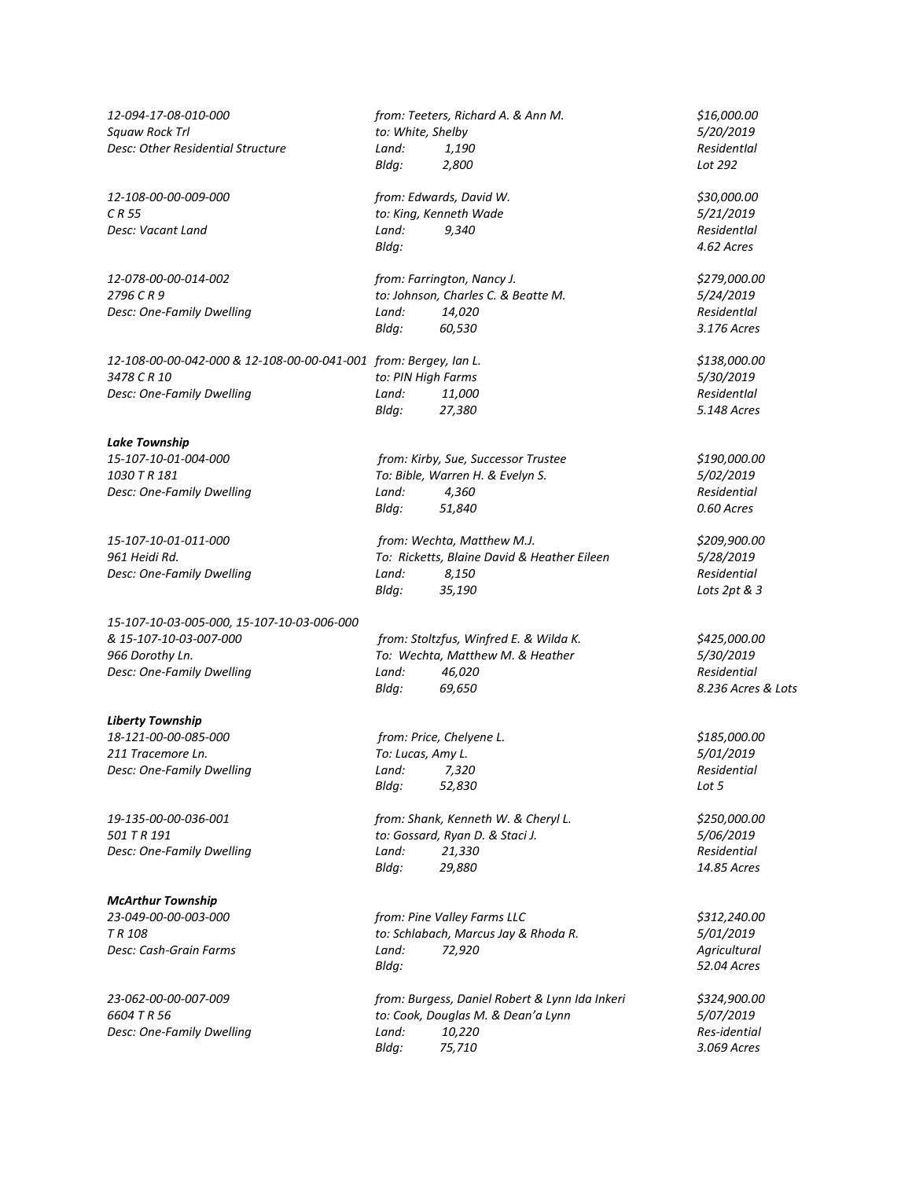*12-094-17-08-010-000 from: Teeters, Richard A. & Ann M. \$16,000.00 Squaw Rock Trl to: White, Shelby 5/20/2019 Desc: Other Residential Structure Land: 1,190 ResidentIal Bldg: 2,800 Lot 292 12-108-00-00-009-000 from: Edwards, David W. \$30,000.00 C R 55 to: King, Kenneth Wade 5/21/2019 Desc: Vacant Land Land: 9,340 ResidentIal Bldg: 4.62 Acres 12-078-00-00-014-002 from: Farrington, Nancy J. \$279,000.00 2796 C R 9 to: Johnson, Charles C. & Beatte M. 5/24/2019 Desc: One-Family Dwelling Land: 14,020 ResidentIal ResidentIal ResidentIal Bldg:* 60,530 *ResidentIal* 3.176 Acres *Bldg: 60,530 3.176 Acres 12-108-00-00-042-000 & 12-108-00-00-041-001 from: Bergey, Ian L. \$138,000.00 3478 C R 10 to: PIN High Farms 5/30/2019 Desc: One-Family Dwelling Land: 11,000 ResidentIal Bldg: 27,380 5.148 Acres Lake Township 15-107-10-01-004-000 from: Kirby, Sue, Successor Trustee \$190,000.00 1030 T R 181 To: Bible, Warren H. & Evelyn S. 5/02/2019 Desc: One-Family Dwelling Land: 4,360 Residential Bldg: 51,840 0.60 Acres 15-107-10-01-011-000 from: Wechta, Matthew M.J. \$209,900.00 961 Heidi Rd. To: Ricketts, Blaine David & Heather Eileen 5/28/2019 Desc: One-Family Dwelling Land: 8,150 Residential Bldg: 35,190 Lots 2pt & 3 15-107-10-03-005-000, 15-107-10-03-006-000 & 15-107-10-03-007-000 from: Stoltzfus, Winfred E. & Wilda K. \$425,000.00 966 Dorothy Ln. To: Wechta, Matthew M. & Heather 5/30/2019 Desc: One-Family Dwelling Land: 46,020 Residential Bldg: 69,650 8.236 Acres & Lots Liberty Township 18-121-00-00-085-000 from: Price, Chelyene L. \$185,000.00 211 Tracemore Ln. To: Lucas, Amy L. 5/01/2019 Desc: One-Family Dwelling Land: 7,320 Residential Bldg: 52,830 Lot 5 19-135-00-00-036-001 from: Shank, Kenneth W. & Cheryl L. \$250,000.00 501 T R 191 to: Gossard, Ryan D. & Staci J. 5/06/2019 Desc: One-Family Dwelling Land: 21,330 Residential Bldg: 29,880 14.85 Acres McArthur Township 23-049-00-00-003-000 from: Pine Valley Farms LLC \$312,240.00 to: Schlabach, Marcus Jay & Rhoda R. Desc: Cash-Grain Farms Land: 72,920 Agricultural Bldg: 52.04 Acres 23-062-00-00-007-009 from: Burgess, Daniel Robert & Lynn Ida Inkeri \$324,900.00 6604 T R 56 to: Cook, Douglas M. & Dean'a Lynn 5/07/2019 Desc: One-Family Dwelling Land: 10,220 Bldg: 75,710 3.069 Acres*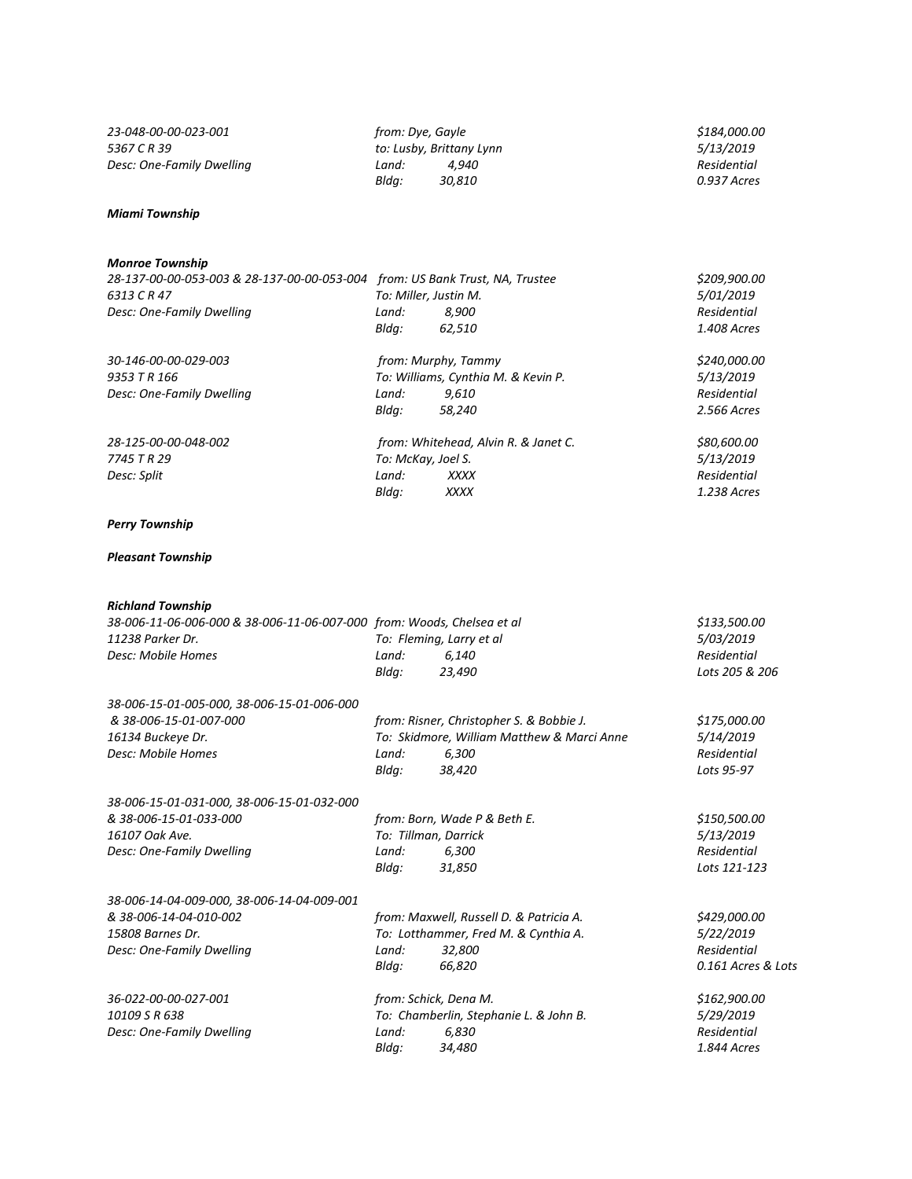*23-048-00-00-023-001 from: Dye, Gayle \$184,000.00 5367 C R 39 to: Lusby, Brittany Lynn 5/13/2019*

*Desc: One-Family Dwelling Land:*  $4,940$  *Residential Residential Residential Bldg:*  $30,810$  *Residential 0.937 Acres* 

*Bldg: 30,810 0.937 Acres*

## *Miami Township*

## *Monroe Township*

| <b>IVIUIII UL TUWIIJIIID</b>                |                                      |                                     |              |
|---------------------------------------------|--------------------------------------|-------------------------------------|--------------|
| 28-137-00-00-053-003 & 28-137-00-00-053-004 | from: US Bank Trust, NA, Trustee     |                                     | \$209,900.00 |
| 6313 C R 47                                 | To: Miller, Justin M.                |                                     | 5/01/2019    |
| Desc: One-Family Dwelling                   | Land:                                | 8.900                               | Residential  |
|                                             | Bldg:                                | 62,510                              | 1.408 Acres  |
| 30-146-00-00-029-003                        | from: Murphy, Tammy                  |                                     | \$240,000.00 |
| 9353 T R 166                                |                                      | To: Williams, Cynthia M. & Kevin P. | 5/13/2019    |
| Desc: One-Family Dwelling                   | Land:                                | 9,610                               | Residential  |
|                                             | Bldg:                                | 58,240                              | 2.566 Acres  |
| 28-125-00-00-048-002                        | from: Whitehead, Alvin R. & Janet C. |                                     | \$80,600.00  |
| 7745 T R 29                                 | To: McKay, Joel S.                   |                                     | 5/13/2019    |
| Desc: Split                                 | Land:                                | <b>XXXX</b>                         | Residential  |
|                                             | Bldg:                                | <b>XXXX</b>                         | 1.238 Acres  |
|                                             |                                      |                                     |              |

## *Perry Township*

## *Pleasant Township*

*Richland Township*

*Desc: One-Family Dwelling Land: 6,830 Residential*

| NILIIIUIIU TUWIISIIIU                                                  |                          |                |
|------------------------------------------------------------------------|--------------------------|----------------|
| 38-006-11-06-006-000 & 38-006-11-06-007-000 from: Woods, Chelsea et al | \$133,500.00             |                |
| 11238 Parker Dr.                                                       | To: Fleming, Larry et al | 5/03/2019      |
| Desc: Mobile Homes                                                     | Land:<br>6.140           | Residential    |
|                                                                        | Blda:<br>23.490          | Lots 205 & 206 |
|                                                                        |                          |                |

| 38-006-15-01-005-000, 38-006-15-01-006-000 |       |                                            |              |
|--------------------------------------------|-------|--------------------------------------------|--------------|
| & 38-006-15-01-007-000                     |       | from: Risner, Christopher S. & Bobbie J.   | \$175,000.00 |
| 16134 Buckeye Dr.                          |       | To: Skidmore, William Matthew & Marci Anne | 5/14/2019    |
| Desc: Mobile Homes                         | Land: | 6.300                                      | Residential  |
|                                            | Blda: | 38.420                                     | Lots 95-97   |
|                                            |       |                                            |              |

| 38-006-15-01-031-000, 38-006-15-01-032-000 |                              |              |
|--------------------------------------------|------------------------------|--------------|
| & 38-006-15-01-033-000                     | from: Born, Wade P & Beth E. | \$150,500.00 |
| 16107 Oak Ave.                             | To: Tillman, Darrick         | 5/13/2019    |
| Desc: One-Family Dwelling                  | 6.300<br>Land:               | Residential  |
|                                            | Blda:<br>31.850              | Lots 121-123 |
|                                            |                              |              |

| 38-006-14-04-009-000, 38-006-14-04-009-001 |                                         |                                      |                    |
|--------------------------------------------|-----------------------------------------|--------------------------------------|--------------------|
| & 38-006-14-04-010-002                     | from: Maxwell, Russell D. & Patricia A. |                                      | \$429,000.00       |
| 15808 Barnes Dr.                           |                                         | To: Lotthammer, Fred M. & Cynthia A. | 5/22/2019          |
| Desc: One-Family Dwelling                  | Land:                                   | 32.800                               | Residential        |
|                                            | Blda:                                   | 66.820                               | 0.161 Acres & Lots |

*36-022-00-00-027-001 from: Schick, Dena M. \$162,900.00 10: Chamberlin, Stephanie L. & John B. 5/29/2019*<br> *Land:* 6,830 **5/29/2019** *Residential Bldg: 34,480 1.844 Acres*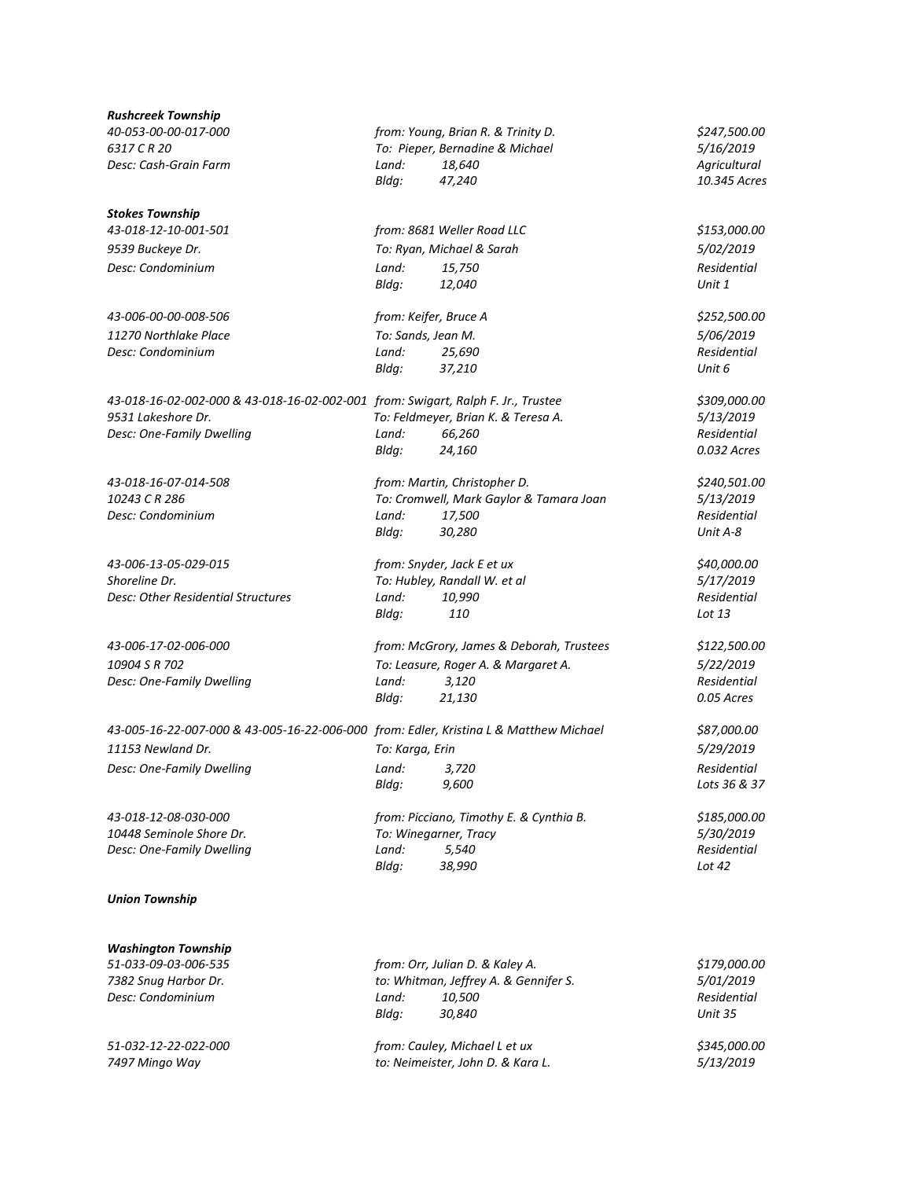| Rushcreek Township                                                                    |                              |                                          |              |
|---------------------------------------------------------------------------------------|------------------------------|------------------------------------------|--------------|
| 40-053-00-00-017-000                                                                  |                              | from: Young, Brian R. & Trinity D.       | \$247,500.00 |
| 6317 C R 20                                                                           |                              | To: Pieper, Bernadine & Michael          | 5/16/2019    |
| Desc: Cash-Grain Farm                                                                 | Land:                        | 18,640                                   | Agricultural |
|                                                                                       | Bldg:                        | 47,240                                   | 10.345 Acres |
| Stokes Township                                                                       |                              |                                          |              |
| 43-018-12-10-001-501                                                                  |                              | from: 8681 Weller Road LLC               | \$153,000.00 |
| 9539 Buckeye Dr.                                                                      |                              | To: Ryan, Michael & Sarah                | 5/02/2019    |
| Desc: Condominium                                                                     | Land:                        | 15,750                                   | Residential  |
|                                                                                       | Bldg:                        | 12,040                                   | Unit 1       |
| 43-006-00-00-008-506                                                                  |                              | from: Keifer, Bruce A                    | \$252,500.00 |
| 11270 Northlake Place                                                                 |                              | To: Sands, Jean M.                       | 5/06/2019    |
| Desc: Condominium                                                                     | Land:                        | 25,690                                   | Residential  |
|                                                                                       | Bldg:                        | 37,210                                   | Unit 6       |
| 43-018-16-02-002-000 & 43-018-16-02-002-001 from: Swigart, Ralph F. Jr., Trustee      |                              |                                          | \$309,000.00 |
| 9531 Lakeshore Dr.                                                                    |                              | To: Feldmeyer, Brian K. & Teresa A.      | 5/13/2019    |
| Desc: One-Family Dwelling                                                             | Land:                        | 66,260                                   | Residential  |
|                                                                                       | Bldg:                        | 24,160                                   | 0.032 Acres  |
| 43-018-16-07-014-508                                                                  |                              | from: Martin, Christopher D.             | \$240,501.00 |
| 10243 C R 286                                                                         |                              | To: Cromwell, Mark Gaylor & Tamara Joan  | 5/13/2019    |
| Desc: Condominium                                                                     | Land:                        | 17,500                                   | Residential  |
|                                                                                       | Bldg:                        | 30,280                                   | Unit A-8     |
| 43-006-13-05-029-015                                                                  | from: Snyder, Jack E et ux   |                                          | \$40,000.00  |
| Shoreline Dr.                                                                         | To: Hubley, Randall W. et al |                                          | 5/17/2019    |
| Desc: Other Residential Structures                                                    | Land:                        | 10,990                                   | Residential  |
|                                                                                       | Bldg:                        | 110                                      | Lot 13       |
| 43-006-17-02-006-000                                                                  |                              | from: McGrory, James & Deborah, Trustees | \$122,500.00 |
| 10904 S R 702                                                                         |                              | To: Leasure, Roger A. & Margaret A.      | 5/22/2019    |
| Desc: One-Family Dwelling                                                             | Land:                        | 3,120                                    | Residential  |
|                                                                                       | Bldg:                        | 21,130                                   | 0.05 Acres   |
| 43-005-16-22-007-000 & 43-005-16-22-006-000 from: Edler, Kristina L & Matthew Michael |                              |                                          | \$87,000.00  |
| 11153 Newland Dr.                                                                     | To: Karga, Erin              |                                          | 5/29/2019    |
| Desc: One-Family Dwelling                                                             |                              | Land: 3,720                              | Residential  |
|                                                                                       | Bldg:                        | 9,600                                    | Lots 36 & 37 |
| 43-018-12-08-030-000                                                                  |                              | from: Picciano, Timothy E. & Cynthia B.  | \$185,000.00 |
| 10448 Seminole Shore Dr.                                                              | To: Winegarner, Tracy        |                                          | 5/30/2019    |
| Desc: One-Family Dwelling                                                             | Land:                        | 5,540                                    | Residential  |
|                                                                                       | Bldg:                        | 38,990                                   | Lot 42       |
| <b>Union Township</b>                                                                 |                              |                                          |              |

*Washington Township 51-033-09-03-006-535 from: Orr, Julian D. & Kaley A. \$179,000.00 7382 Snug Harbor Dr. to: Whitman, Jeffrey A. & Gennifer S. 5/01/2019 Desc: Condominium Land: 10,500 Residential Bldg: 30,840 Unit 35 51-032-12-22-022-000 from: Cauley, Michael L et ux \$345,000.00 7497 Mingo Way to: Neimeister, John D. & Kara L. 5/13/2019*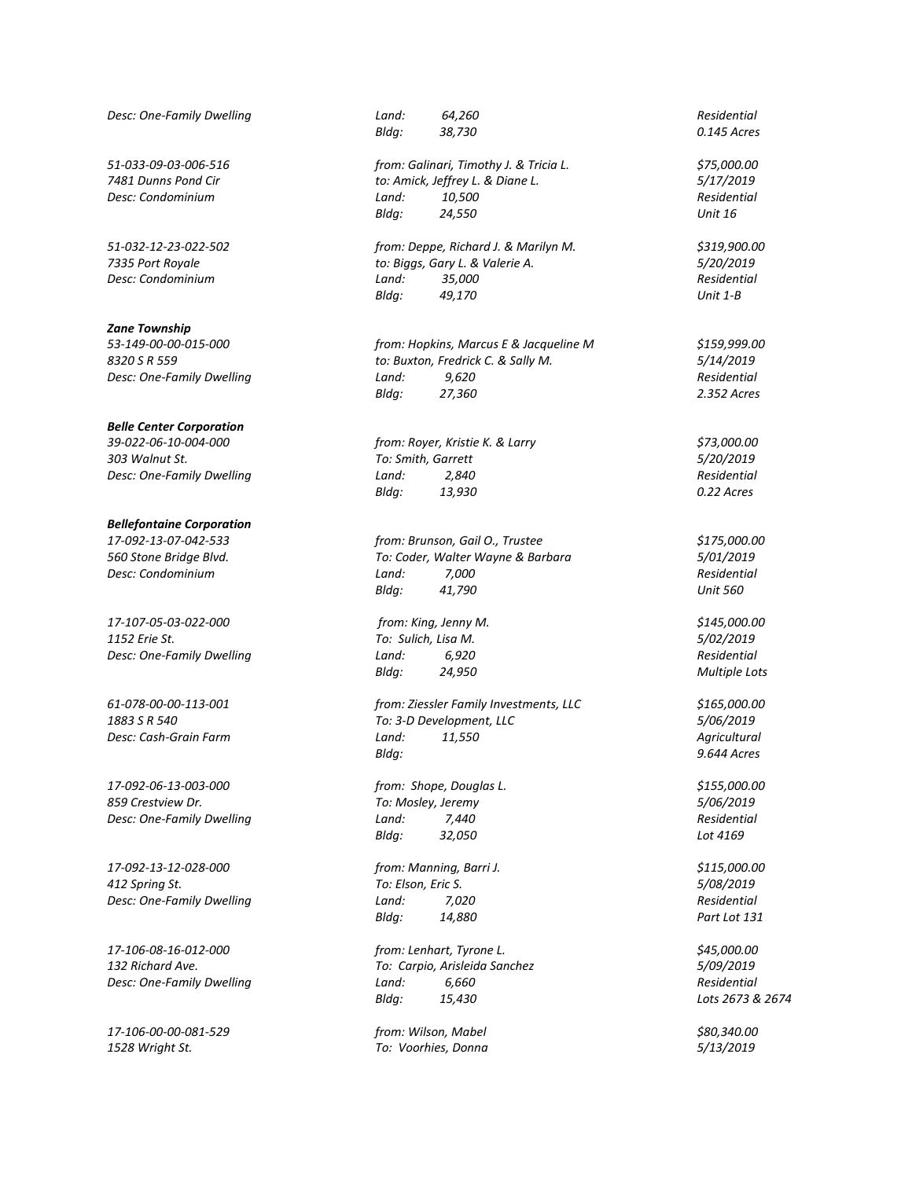*Desc: One-Family Dwelling Land: 64,260 Residential*

### *Zane Township*

### *Belle Center Corporation*

# *Bellefontaine Corporation*

*17-107-05-03-022-000 from: King, Jenny M. \$145,000.00 1152 Erie St. To: Sulich, Lisa M. 5/02/2019 Desc: One-Family Dwelling Land: 6,920 Residential*

*17-092-06-13-003-000 from: Shope, Douglas L. \$155,000.00 859 Crestview Dr. To: Mosley, Jeremy 5/06/2019*

*17-092-13-12-028-000 from: Manning, Barri J. \$115,000.00 412 Spring St. To: Elson, Eric S. 5/08/2019 Desc: One-Family Dwelling Land: 7,020 Residential*

*17-106-00-00-081-529 from: Wilson, Mabel \$80,340.00 1528 Wright St. To: Voorhies, Donna 5/13/2019*

*Bldg: 38,730 0.145 Acres*

*51-033-09-03-006-516 from: Galinari, Timothy J. & Tricia L. \$75,000.00 7481 Dunns Pond Cir to: Amick, Jeffrey L. & Diane L. 5/17/2019 Desc: Condominium Land: 10,500 Residential Bldg: 24,550 Unit 16*

*51-032-12-23-022-502 from: Deppe, Richard J. & Marilyn M. \$319,900.00 7335 Port Royale to: Biggs, Gary L. & Valerie A. 5/20/2019 Desc: Condominium Land: 35,000 Residential Bldg: 49,170 Unit 1-B*

*53-149-00-00-015-000 from: Hopkins, Marcus E & Jacqueline M \$159,999.00 8320 S R 559 to: Buxton, Fredrick C. & Sally M. 5/14/2019 Desc: One-Family Dwelling Land: 9,620 Residential Bldg: 27,360 2.352 Acres*

*39-022-06-10-004-000 from: Royer, Kristie K. & Larry \$73,000.00 303 Walnut St. To: Smith, Garrett 5/20/2019 Desc: One-Family Dwelling Land: 2,840 Residential Bldg: 13,930 0.22 Acres*

*17-092-13-07-042-533 from: Brunson, Gail O., Trustee \$175,000.00 560 Stone Bridge Blvd. To: Coder, Walter Wayne & Barbara 5/01/2019 Desc: Condominium Land: 7,000 Residential Bldg: 41,790 Unit 560*

*Bldg: 24,950 Multiple Lots*

*61-078-00-00-113-001 from: Ziessler Family Investments, LLC \$165,000.00 1883 S R 540 To: 3-D Development, LLC 5/06/2019 Desc: Cash-Grain Farm Land: 11,550 Agricultural Bldg: 9.644 Acres*

*Desc: One-Family Dwelling Land: 7,440 Residential Bldg: 32,050 Lot 4169*

*Bldg: 14,880 Part Lot 131*

*17-106-08-16-012-000 from: Lenhart, Tyrone L. \$45,000.00 132 Richard Ave. To: Carpio, Arisleida Sanchez 5/09/2019 Desc: One-Family Dwelling Land: 6,660 Residential Bldg: 15,430 Lots 2673 & 2674*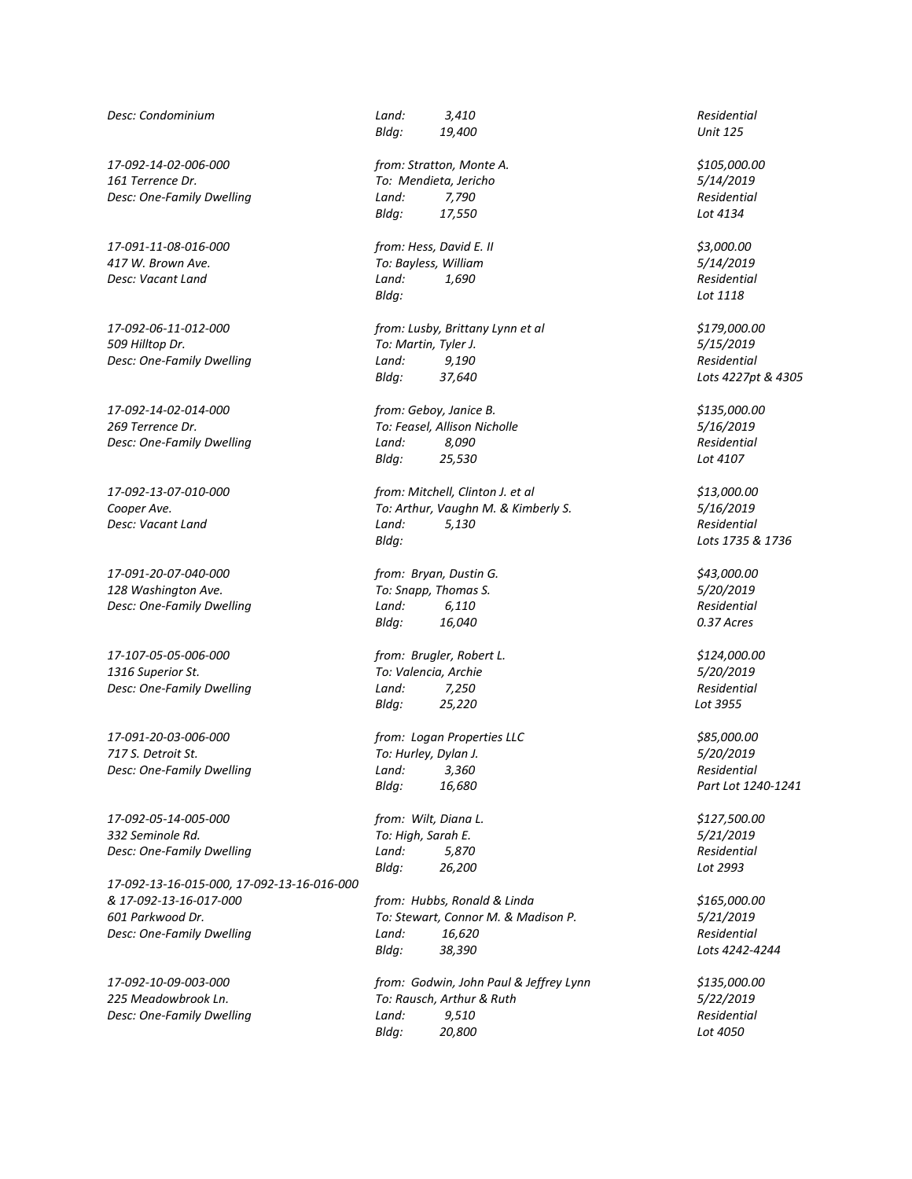*Desc: Condominium Land: 3,410 Residential*

*17-092-14-02-006-000 from: Stratton, Monte A. \$105,000.00 161 Terrence Dr. To: Mendieta, Jericho 5/14/2019 Desc: One-Family Dwelling Land: 7,790 Residential*

*17-091-11-08-016-000 from: Hess, David E. II \$3,000.00 417 W. Brown Ave. To: Bayless, William 5/14/2019 Desc: Vacant Land Land: 1,690 Residential*

*17-091-20-07-040-000 from: Bryan, Dustin G. \$43,000.00 128 Washington Ave. To: Snapp, Thomas S. 5/20/2019 Desc: One-Family Dwelling Land: 6,110 Residential*

*17-107-05-05-006-000 from: Brugler, Robert L. \$124,000.00 1316 Superior St. To: Valencia, Archie 5/20/2019 Desc: One-Family Dwelling Land: 7,250 Residential*

*17-091-20-03-006-000 from: Logan Properties LLC \$85,000.00*

*17-092-05-14-005-000 from: Wilt, Diana L. \$127,500.00 332 Seminole Rd. To: High, Sarah E. 5/21/2019*

*17-092-13-16-015-000, 17-092-13-16-016-000 & 17-092-13-16-017-000 from: Hubbs, Ronald & Linda \$165,000.00 601 Parkwood Dr. To: Stewart, Connor M. & Madison P. 5/21/2019 Desc: One-Family Dwelling Land: 16,620 Residential*

*Bldg: 19,400 Unit 125*

*Bldg: 17,550 Lot 4134*

*Bldg: Lot 1118*

*17-092-06-11-012-000 from: Lusby, Brittany Lynn et al \$179,000.00 509 Hilltop Dr. To: Martin, Tyler J. 5/15/2019 Desc: One-Family Dwelling Land: 9,190 Residential Bldg: 37,640 Lots 4227pt & 4305*

*17-092-14-02-014-000 from: Geboy, Janice B. \$135,000.00 269 Terrence Dr. To: Feasel, Allison Nicholle 5/16/2019 Desc: One-Family Dwelling Land: 8,090 Residential Bldg: 25,530 Lot 4107*

*17-092-13-07-010-000 from: Mitchell, Clinton J. et al \$13,000.00 Cooper Ave. To: Arthur, Vaughn M. & Kimberly S. 5/16/2019 Desc: Vacant Land Land: 5,130 Residential Bldg: Lots 1735 & 1736*

*Bldg: 16,040 0.37 Acres*

*Bldg: 25,220 Lot 3955*

*717 S. Detroit St. To: Hurley, Dylan J. 5/20/2019 Desc: One-Family Dwelling Land: 3,360 Residential Bldg: 16,680 Part Lot 1240-1241*

*Desc: One-Family Dwelling Land: 5,870 Residential Bldg: 26,200 Lot 2993*

*Bldg: 38,390 Lots 4242-4244*

*17-092-10-09-003-000 from: Godwin, John Paul & Jeffrey Lynn \$135,000.00 225 Meadowbrook Ln. To: Rausch, Arthur & Ruth 5/22/2019 Desc: One-Family Dwelling Land: 9,510 Residential Bldg: 20,800 Lot 4050*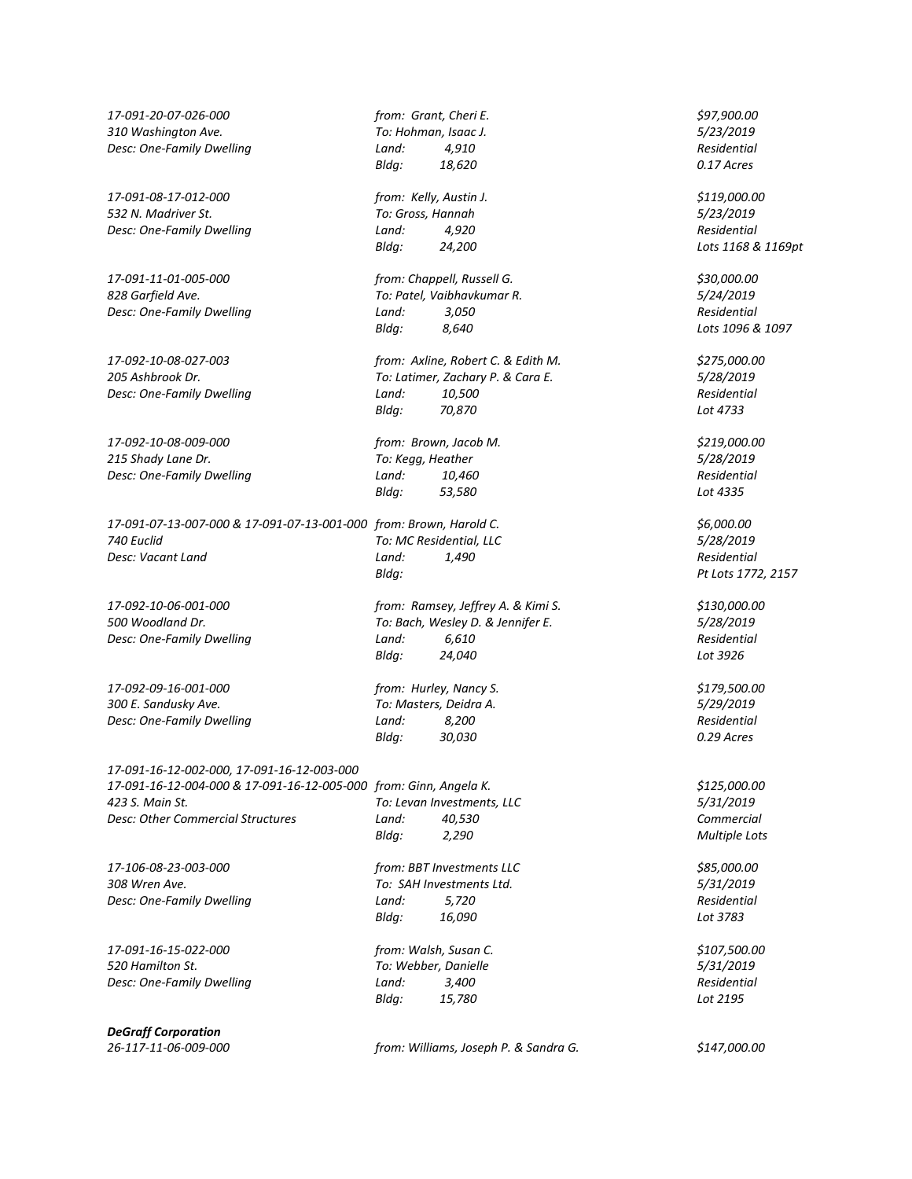*17-091-20-07-026-000 from: Grant, Cheri E. \$97,900.00 310 Washington Ave. To: Hohman, Isaac J. 5/23/2019 Desc: One-Family Dwelling Land: 4,910 Residential*

*17-091-08-17-012-000 from: Kelly, Austin J. \$119,000.00 532 N. Madriver St. To: Gross, Hannah 5/23/2019 Desc: One-Family Dwelling Land: 4,920 Residential*

*17-091-11-01-005-000 from: Chappell, Russell G. \$30,000.00*

*17-092-10-08-009-000 from: Brown, Jacob M. \$219,000.00 215 Shady Lane Dr. To: Kegg, Heather 5/28/2019 Desc: One-Family Dwelling Land: 10,460 Residential*

*17-091-07-13-007-000 & 17-091-07-13-001-000 from: Brown, Harold C. \$6,000.00 740 Euclid To: MC Residential, LLC 5/28/2019 Desc: Vacant Land Land: 1,490 Residential*

*17-092-10-06-001-000 from: Ramsey, Jeffrey A. & Kimi S. \$130,000.00*

*17-092-09-16-001-000 from: Hurley, Nancy S. \$179,500.00 300 E. Sandusky Ave. To: Masters, Deidra A. 5/29/2019 Desc: One-Family Dwelling Land: 8,200 Residential*

*17-091-16-12-002-000, 17-091-16-12-003-000 17-091-16-12-004-000 & 17-091-16-12-005-000 from: Ginn, Angela K. \$125,000.00 423 S. Main St. To: Levan Investments, LLC 5/31/2019*

*17-106-08-23-003-000 from: BBT Investments LLC \$85,000.00*

*17-091-16-15-022-000 from: Walsh, Susan C. \$107,500.00 520 Hamilton St. To: Webber, Danielle 5/31/2019 Desc: One-Family Dwelling Land: 3,400 Residential*

*DeGraff Corporation*

*Bldg: 18,620 0.17 Acres*

*Bldg: 24,200 Lots 1168 & 1169pt*

*828 Garfield Ave. To: Patel, Vaibhavkumar R. 5/24/2019 Desc: One-Family Dwelling Land: 3,050 Residential Bldg: 8,640 Lots 1096 & 1097*

*17-092-10-08-027-003 from: Axline, Robert C. & Edith M. \$275,000.00 205 Ashbrook Dr. To: Latimer, Zachary P. & Cara E. 5/28/2019 Desc: One-Family Dwelling Land: 10,500 Residential Bldg: 70,870 Lot 4733*

*Bldg: 53,580 Lot 4335*

*Bldg: Pt Lots 1772, 2157*

*500 Woodland Dr. To: Bach, Wesley D. & Jennifer E. 5/28/2019 Desc: One-Family Dwelling Land: 6,610 Residential Bldg: 24,040 Lot 3926*

*Bldg: 30,030 0.29 Acres*

*Desc: Other Commercial Structures Land: 40,530 Commercial Bldg: 2,290 Multiple Lots*

*308 Wren Ave. To: SAH Investments Ltd. 5/31/2019 Desc: One-Family Dwelling Land: 5,720 Residential Bldg: 16,090 Lot 3783*

*Bldg: 15,780 Lot 2195*

*26-117-11-06-009-000 from: Williams, Joseph P. & Sandra G. \$147,000.00*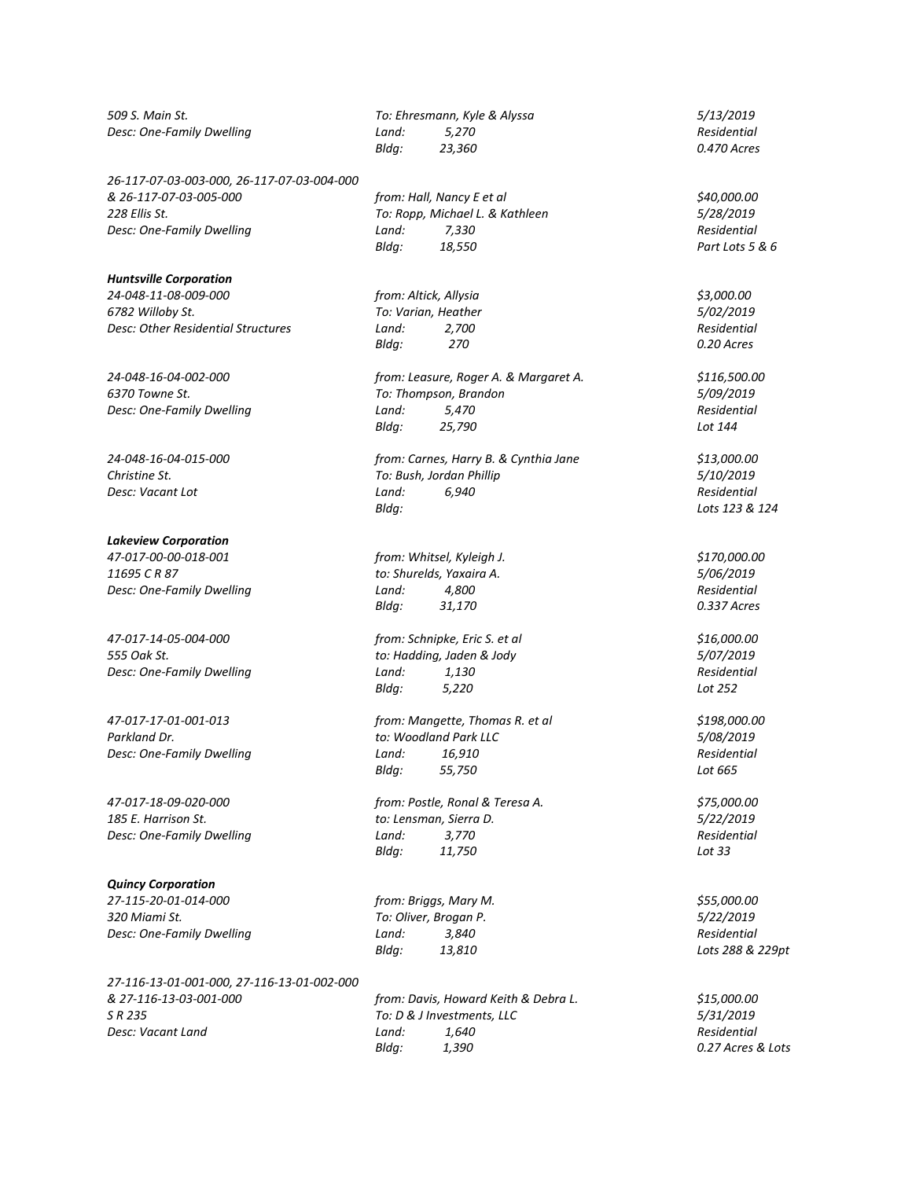*26-117-07-03-003-000, 26-117-07-03-004-000 228 Ellis St. To: Ropp, Michael L. & Kathleen 5/28/2019 Desc: One-Family Dwelling Residential Land:* 7,330

*Huntsville Corporation*

*24-048-11-08-009-000 from: Altick, Allysia \$3,000.00 6782 Willoby St. To: Varian, Heather 5/02/2019 Desc: Other Residential Structures* 

## *Lakeview Corporation*

*11695 C R 87 to: Shurelds, Yaxaira A. 5/06/2019 Desc: One-Family Dwelling Land: 4,800 Residential*

**Desc: One-Family Dwelling Canallel** *Land:* **Land:** 

*Quincy Corporation*

*320 Miami St. To: Oliver, Brogan P. 5/22/2019 Desc: One-Family Dwelling Land: 3,840 Residential*

*27-116-13-01-001-000, 27-116-13-01-002-000 & 27-116-13-03-001-000 from: Davis, Howard Keith & Debra L. \$15,000.00 Desc: Vacant Land Residential Land:**Residential**Residential**Residential**Residential**Residential**Residential**Residential**Residential**Residential**Residential**Residential**Residential**Residen* 

*509 S. Main St. To: Ehresmann, Kyle & Alyssa 5/13/2019 Desc: One-Family Dwelling Land: 5,270 Residential Bldg: 23,360 0.470 Acres*

> *& 26-117-07-03-005-000 from: Hall, Nancy E et al \$40,000.00 Bldg: 18,550 Part Lots 5 & 6*

*Bldg: 270 0.20 Acres*

*24-048-16-04-002-000 from: Leasure, Roger A. & Margaret A. \$116,500.00 6370 Towne St. To: Thompson, Brandon 5/09/2019 Desc: One-Family Dwelling Land:* 5,470 *Residential Residential Residential Residential Residential Residential Residential Residential Residential Residential Residential Residential Residenti Bldg: 25,790 Lot 144*

*24-048-16-04-015-000 from: Carnes, Harry B. & Cynthia Jane \$13,000.00 Christine St. To: Bush, Jordan Phillip 5/10/2019 Desc: Vacant Lot Land: 6,940 Residential Bldg: Lots 123 & 124*

*47-017-00-00-018-001 from: Whitsel, Kyleigh J. \$170,000.00 Bldg: 31,170 0.337 Acres*

*47-017-14-05-004-000 from: Schnipke, Eric S. et al \$16,000.00 555 Oak St. to: Hadding, Jaden & Jody 5/07/2019 Desc: One-Family Dwelling Land: 1,130 Residential Bldg: 5,220 Lot 252*

*47-017-17-01-001-013 from: Mangette, Thomas R. et al \$198,000.00 Parkland Dr. to: Woodland Park LLC 5/08/2019 Desc: One-Family Dwelling Land: 16,910 Residential Bldg: 55,750 Lot 665*

*47-017-18-09-020-000 from: Postle, Ronal & Teresa A. \$75,000.00 185 E. Harrison St. to: Lensman, Sierra D. 5/22/2019 Bldg: 11,750 Lot 33*

> *27-115-20-01-014-000 from: Briggs, Mary M. \$55,000.00 Bldg: 13,810 Lots 288 & 229pt*

> *S R 235 To: D & J Investments, LLC 5/31/2019 Bldg: 1,390 0.27 Acres & Lots*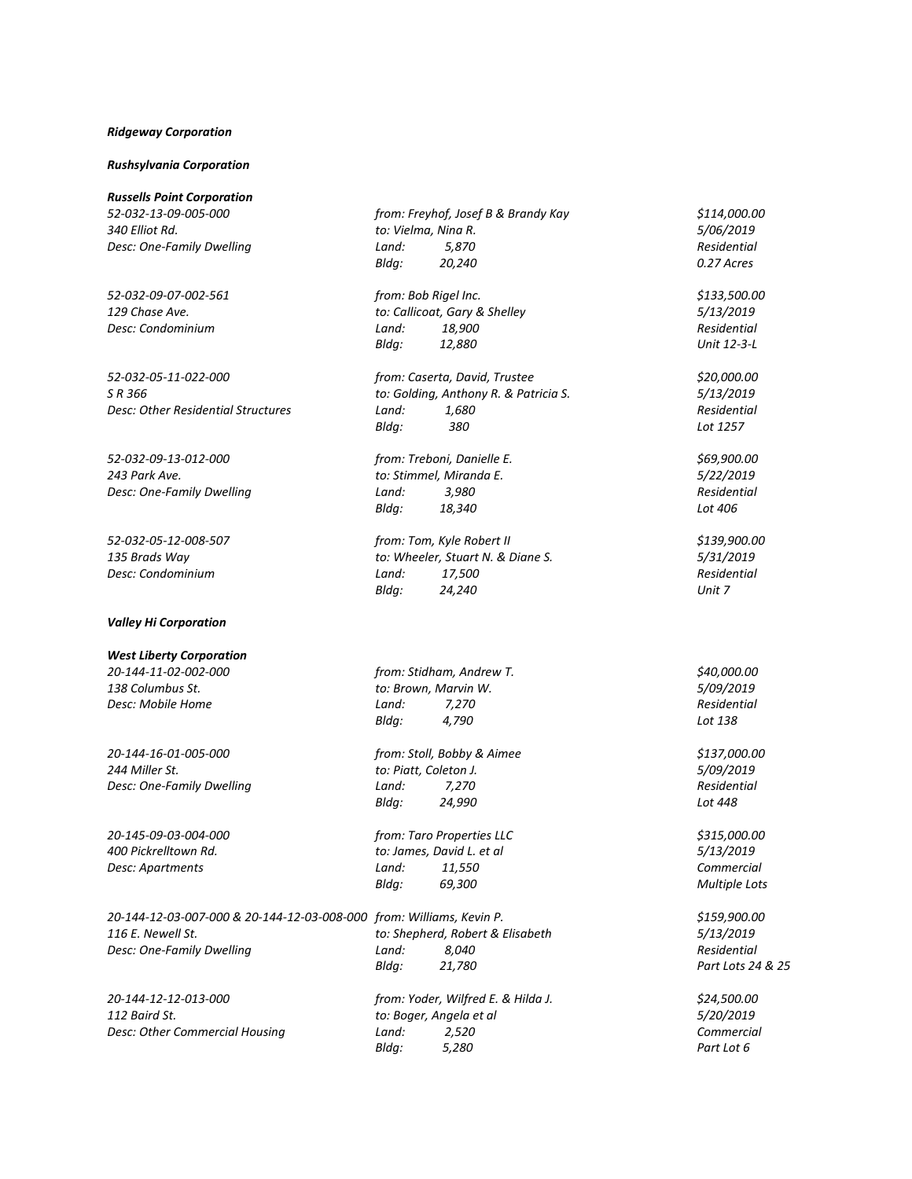### *Ridgeway Corporation*

#### *Rushsylvania Corporation*

## *Valley Hi Corporation*

*20-144-12-03-007-000 & 20-144-12-03-008-000 from: Williams, Kevin P. \$159,900.00*

*Desc: Other Commercial Housing Land: 2,520* 

| <b>Russells Point Corporation</b>  |                                       |                    |
|------------------------------------|---------------------------------------|--------------------|
| 52-032-13-09-005-000               | from: Freyhof, Josef B & Brandy Kay   | \$114,000.00       |
| 340 Elliot Rd.                     | to: Vielma, Nina R.                   | 5/06/2019          |
| Desc: One-Family Dwelling          | Land:<br>5,870                        | Residential        |
|                                    | Bldg:<br>20,240                       | 0.27 Acres         |
| 52-032-09-07-002-561               | from: Bob Rigel Inc.                  | \$133,500.00       |
| 129 Chase Ave.                     | to: Callicoat, Gary & Shelley         | 5/13/2019          |
| Desc: Condominium                  | 18,900<br>Land:                       | Residential        |
|                                    | Bldg:<br>12,880                       | Unit 12-3-L        |
| 52-032-05-11-022-000               | from: Caserta, David, Trustee         | \$20,000.00        |
| S R 366                            | to: Golding, Anthony R. & Patricia S. | 5/13/2019          |
| Desc: Other Residential Structures | Land:<br>1,680                        | Residential        |
|                                    | Bldg:<br>380                          | Lot 1257           |
| 52-032-09-13-012-000               | from: Treboni, Danielle E.            | \$69,900.00        |
| 243 Park Ave.                      | to: Stimmel, Miranda E.               | 5/22/2019          |
| Desc: One-Family Dwelling          | 3,980<br>Land:                        | Residential        |
|                                    | Bldg:<br>18,340                       | Lot 406            |
| 52-032-05-12-008-507               | from: Tom, Kyle Robert II             | \$139,900.00       |
| 135 Brads Way                      | to: Wheeler, Stuart N. & Diane S.     | 5/31/2019          |
| Desc: Condominium                  | 17,500<br>Land:                       | <b>Residential</b> |
|                                    | Bldg:<br>24,240                       | Unit 7             |
| <b>Valley Hi Corporation</b>       |                                       |                    |
| <b>West Liberty Corporation</b>    |                                       |                    |
| 20-144-11-02-002-000               | from: Stidham, Andrew T.              | \$40,000.00        |
| 138 Columbus St.                   | to: Brown, Marvin W.                  | 5/09/2019          |
| Desc: Mobile Home                  | Land:<br>7,270                        | <b>Residential</b> |
|                                    | Bldg:<br>4,790                        | Lot 138            |
| 20-144-16-01-005-000               | from: Stoll, Bobby & Aimee            | \$137,000.00       |
| 244 Miller St.                     | to: Piatt, Coleton J.                 | 5/09/2019          |
| Desc: One-Family Dwelling          | Land:<br>7,270                        | Residential        |
|                                    | Bldg:<br>24,990                       | Lot 448            |
| 20-145-09-03-004-000               | from: Taro Properties LLC             | \$315,000.00       |
| 400 Pickrelltown Rd.               | to: James, David L. et al             | 5/13/2019          |
| Desc: Apartments                   | Land:<br>11,550                       | Commercial         |
|                                    | Bldg:<br>69,300                       | Multiple Lots      |
|                                    |                                       |                    |

*116 E. Newell St. to: Shepherd, Robert & Elisabeth 5/13/2019 Desc: One-Family Dwelling Land: 8,040 Residential Bldg: 21,780 Part Lots 24 & 25*

*20-144-12-12-013-000 from: Yoder, Wilfred E. & Hilda J. \$24,500.00 112 Baird St. to: Boger, Angela et al 5/20/2019 Bldg: 5,280 Part Lot 6*